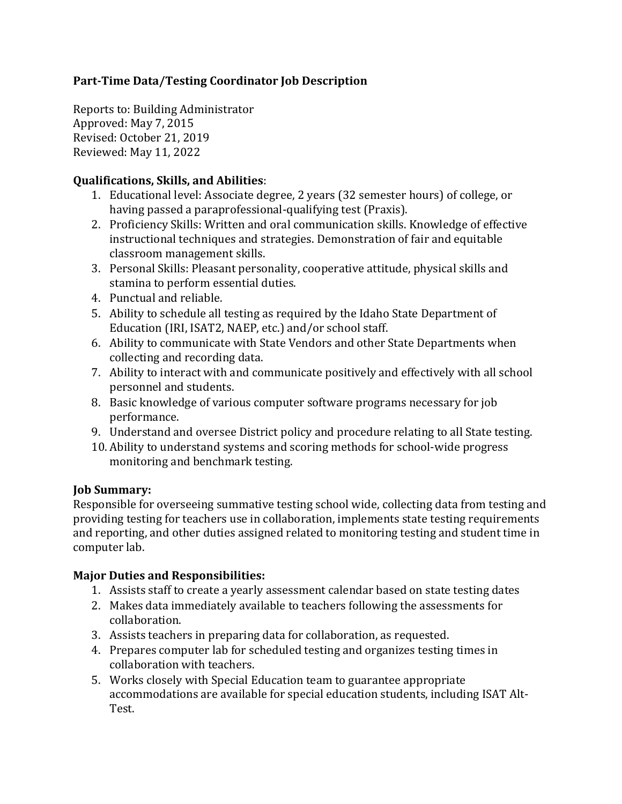# **Part-Time Data/Testing Coordinator Job Description**

Reports to: Building Administrator Approved: May 7, 2015 Revised: October 21, 2019 Reviewed: May 11, 2022

### **Qualifications, Skills, and Abilities**:

- 1. Educational level: Associate degree, 2 years (32 semester hours) of college, or having passed a paraprofessional-qualifying test (Praxis).
- 2. Proficiency Skills: Written and oral communication skills. Knowledge of effective instructional techniques and strategies. Demonstration of fair and equitable classroom management skills.
- 3. Personal Skills: Pleasant personality, cooperative attitude, physical skills and stamina to perform essential duties.
- 4. Punctual and reliable.
- 5. Ability to schedule all testing as required by the Idaho State Department of Education (IRI, ISAT2, NAEP, etc.) and/or school staff.
- 6. Ability to communicate with State Vendors and other State Departments when collecting and recording data.
- 7. Ability to interact with and communicate positively and effectively with all school personnel and students.
- 8. Basic knowledge of various computer software programs necessary for job performance.
- 9. Understand and oversee District policy and procedure relating to all State testing.
- 10. Ability to understand systems and scoring methods for school-wide progress monitoring and benchmark testing.

# **Job Summary:**

Responsible for overseeing summative testing school wide, collecting data from testing and providing testing for teachers use in collaboration, implements state testing requirements and reporting, and other duties assigned related to monitoring testing and student time in computer lab.

# **Major Duties and Responsibilities:**

- 1. Assists staff to create a yearly assessment calendar based on state testing dates
- 2. Makes data immediately available to teachers following the assessments for collaboration.
- 3. Assists teachers in preparing data for collaboration, as requested.
- 4. Prepares computer lab for scheduled testing and organizes testing times in collaboration with teachers.
- 5. Works closely with Special Education team to guarantee appropriate accommodations are available for special education students, including ISAT Alt-Test.